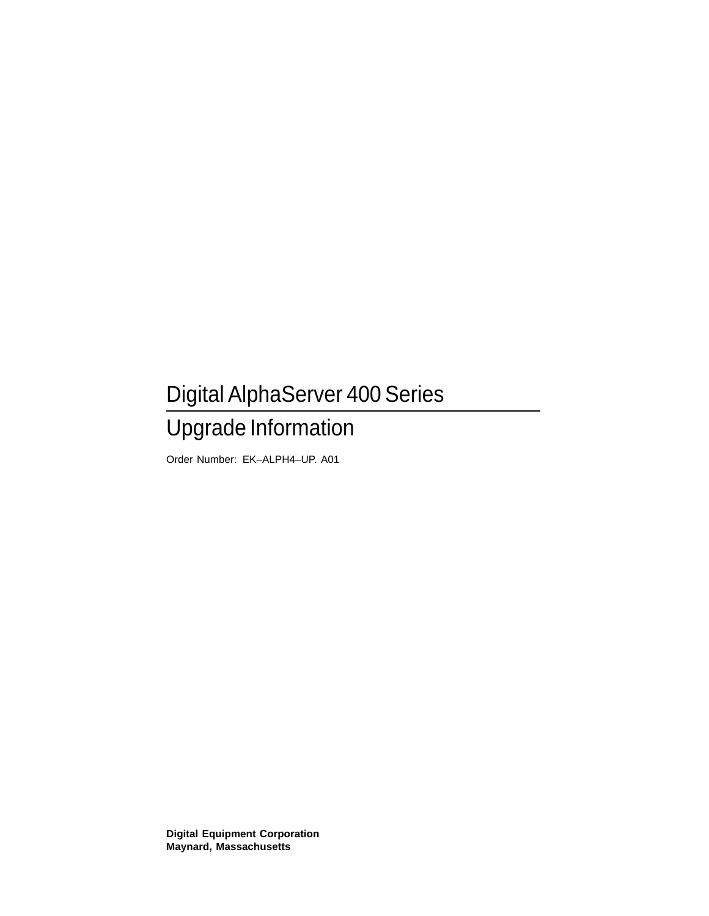## Digital AlphaServer 400 Series Upgrade Information

Order Number: EK–ALPH4–UP. A01

**Digital Equipment Corporation Maynard, Massachusetts**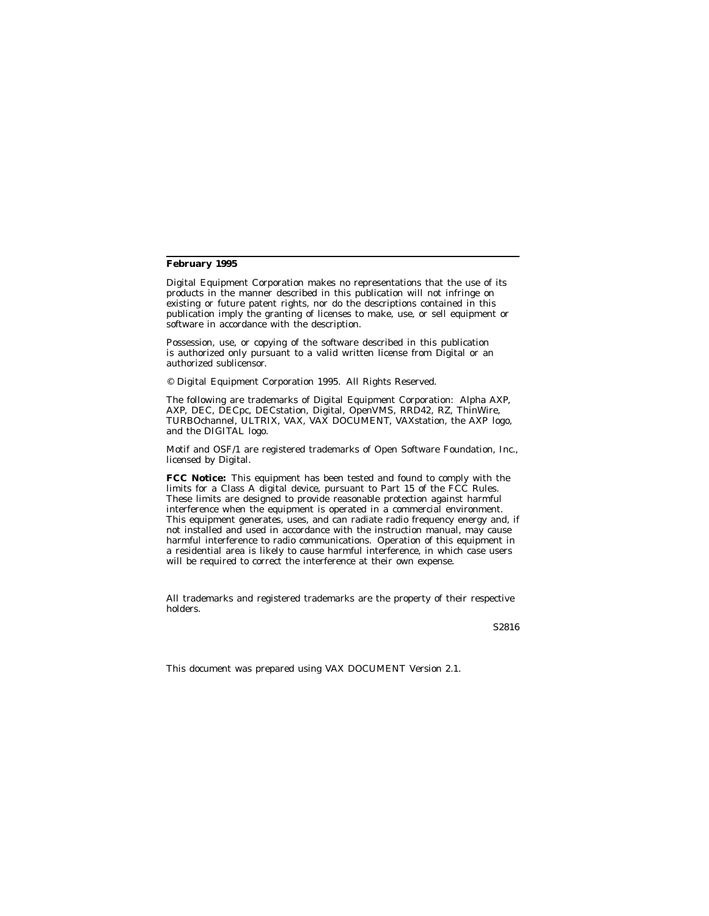#### **February 1995**

Digital Equipment Corporation makes no representations that the use of its products in the manner described in this publication will not infringe on existing or future patent rights, nor do the descriptions contained in this publication imply the granting of licenses to make, use, or sell equipment or software in accordance with the description.

Possession, use, or copying of the software described in this publication is authorized only pursuant to a valid written license from Digital or an authorized sublicensor.

© Digital Equipment Corporation 1995. All Rights Reserved.

The following are trademarks of Digital Equipment Corporation: Alpha AXP, AXP, DEC, DECpc, DECstation, Digital, OpenVMS, RRD42, RZ, ThinWire, TURBOchannel, ULTRIX, VAX, VAX DOCUMENT, VAXstation, the AXP logo, and the DIGITAL logo.

Motif and OSF/1 are registered trademarks of Open Software Foundation, Inc., licensed by Digital.

**FCC Notice:** This equipment has been tested and found to comply with the limits for a Class A digital device, pursuant to Part 15 of the FCC Rules. These limits are designed to provide reasonable protection against harmful interference when the equipment is operated in a commercial environment. This equipment generates, uses, and can radiate radio frequency energy and, if not installed and used in accordance with the instruction manual, may cause harmful interference to radio communications. Operation of this equipment in a residential area is likely to cause harmful interference, in which case users will be required to correct the interference at their own expense.

All trademarks and registered trademarks are the property of their respective holders.

S2816

This document was prepared using VAX DOCUMENT Version 2.1.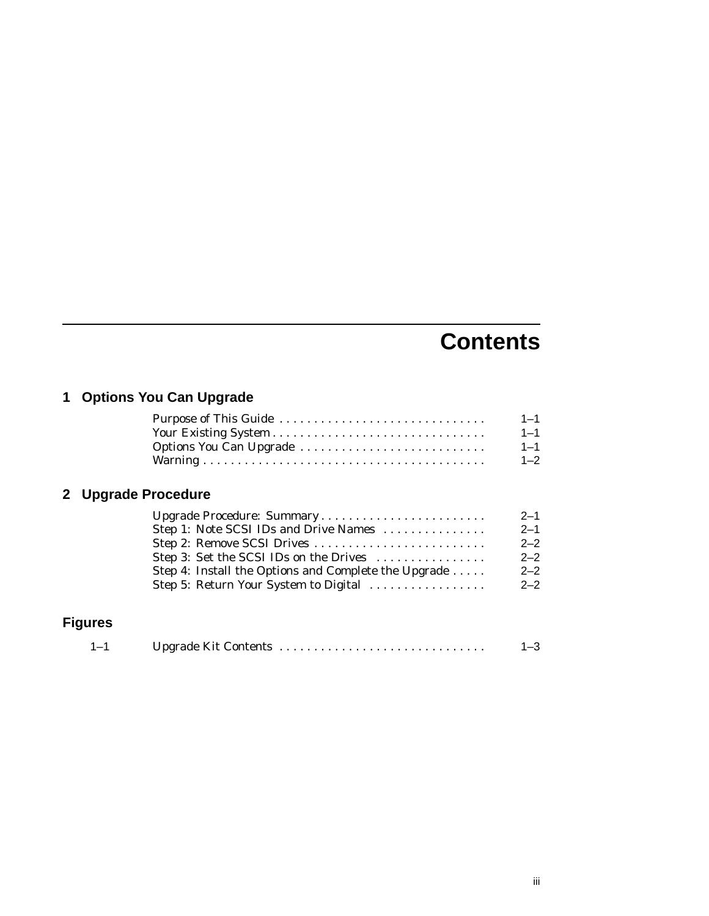### **Contents**

### **1 Options You Can Upgrade**

| Purpose of This Guide                                        | $1 - 1$ |
|--------------------------------------------------------------|---------|
|                                                              | $1 - 1$ |
| Options You Can Upgrade                                      | $1 - 1$ |
|                                                              | $1 - 2$ |
| <b>Upgrade Procedure</b>                                     |         |
| Upgrade Procedure: Summary                                   | $2 - 1$ |
| Step 1: Note SCSI IDs and Drive Names                        | $2 - 1$ |
| Step 2: Remove SCSI Drives                                   | $2 - 2$ |
| Step 3: Set the SCSI IDs on the Drives                       | $2 - 2$ |
| Step 4: Install the Options and Complete the Upgrade $\dots$ | $2 - 2$ |
| Step 5: Return Your System to Digital                        | $2 - 2$ |
|                                                              |         |
| <b>Figures</b>                                               |         |

| $1 - 1$ |  |  |
|---------|--|--|
|---------|--|--|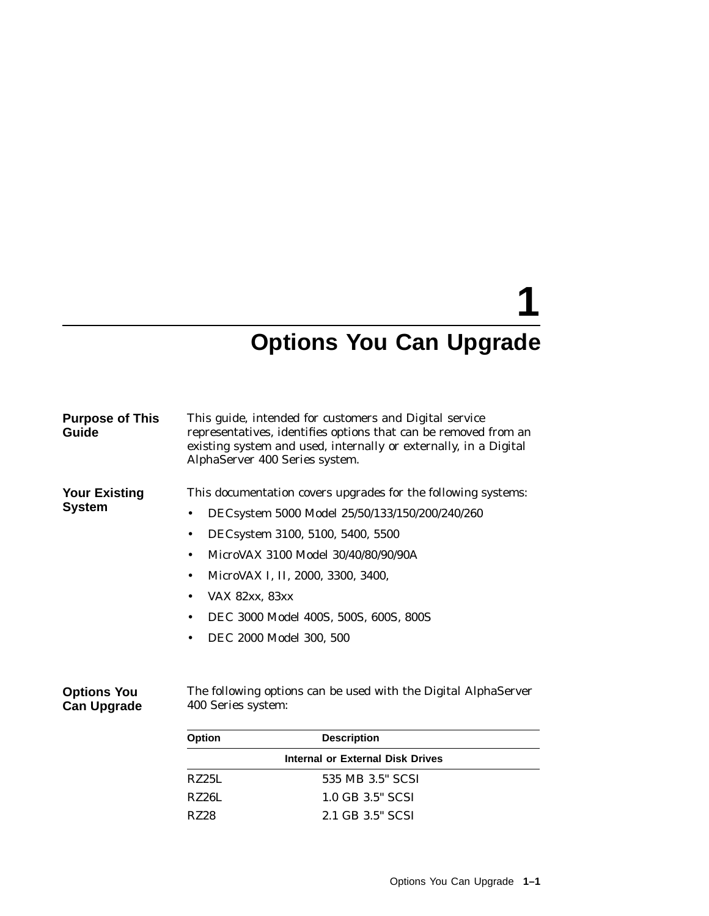# **1**

## **Options You Can Upgrade**

| <b>Purpose of This</b><br>Guide          | This guide, intended for customers and Digital service<br>representatives, identifies options that can be removed from an<br>existing system and used, internally or externally, in a Digital<br>AlphaServer 400 Series system.                                                                                                                          |
|------------------------------------------|----------------------------------------------------------------------------------------------------------------------------------------------------------------------------------------------------------------------------------------------------------------------------------------------------------------------------------------------------------|
| <b>Your Existing</b><br><b>System</b>    | This documentation covers upgrades for the following systems:<br>DECsystem 5000 Model 25/50/133/150/200/240/260<br>٠<br>DECsystem 3100, 5100, 5400, 5500<br>٠<br>MicroVAX 3100 Model 30/40/80/90/90A<br>٠<br>MicroVAX I, II, 2000, 3300, 3400,<br>٠<br>VAX 82xx, 83xx<br>٠<br>DEC 3000 Model 400S, 500S, 600S, 800S<br>٠<br>DEC 2000 Model 300, 500<br>٠ |
| <b>Options You</b><br><b>Can Upgrade</b> | The following options can be used with the Digital AlphaServer<br>400 Series system:                                                                                                                                                                                                                                                                     |

| <b>Option</b> | <b>Description</b>               |  |
|---------------|----------------------------------|--|
|               | Internal or External Disk Drives |  |
| RZ25L         | 535 MB 3.5" SCSI                 |  |
| RZ26L         | 1.0 GB 3.5" SCSI                 |  |
| RZ28          | 2.1 GB 3.5" SCSI                 |  |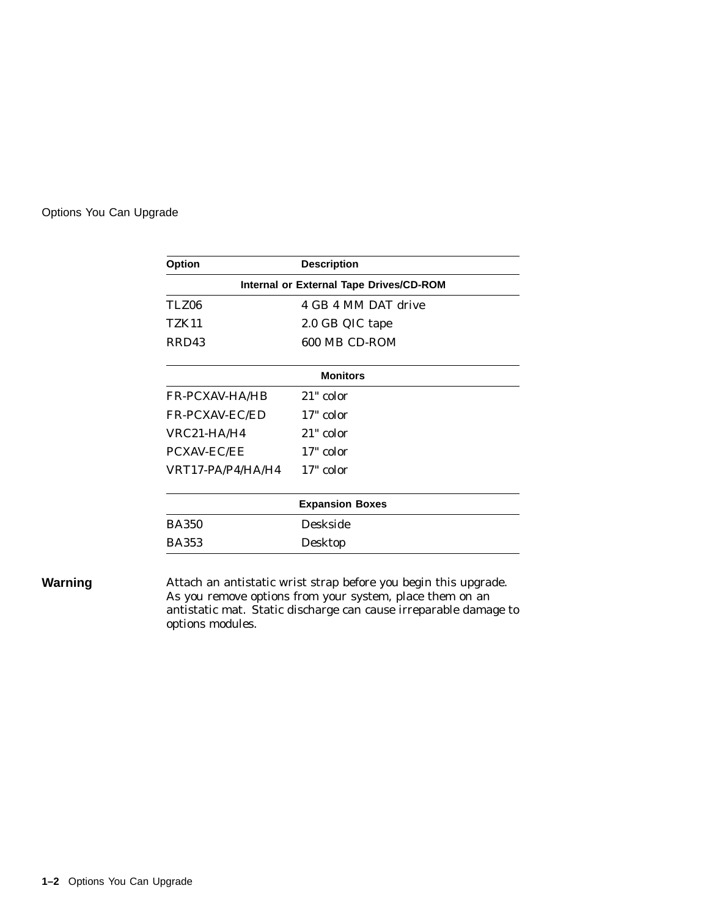#### Options You Can Upgrade

| <b>Option</b>         | <b>Description</b>                      |
|-----------------------|-----------------------------------------|
|                       | Internal or External Tape Drives/CD-ROM |
| TLZ06                 | 4 GB 4 MM DAT drive                     |
| <b>TZK11</b>          | 2.0 GB QIC tape                         |
| RRD43                 | 600 MB CD-ROM                           |
|                       | <b>Monitors</b>                         |
| <b>FR-PCXAV-HA/HB</b> | $21"$ color                             |
| <b>FR-PCXAV-EC/ED</b> | 17" color                               |
| $VRC21-HA/H4$         | $21"$ color                             |
| <b>PCXAV-EC/EE</b>    | 17" color                               |
| VRT17-PA/P4/HA/H4     | 17" color                               |
|                       | <b>Expansion Boxes</b>                  |
| <b>BA350</b>          | <b>Deskside</b>                         |
| <b>BA353</b>          | Desktop                                 |

**Warning** Attach an antistatic wrist strap before you begin this upgrade. As you remove options from your system, place them on an antistatic mat. Static discharge can cause irreparable damage to options modules.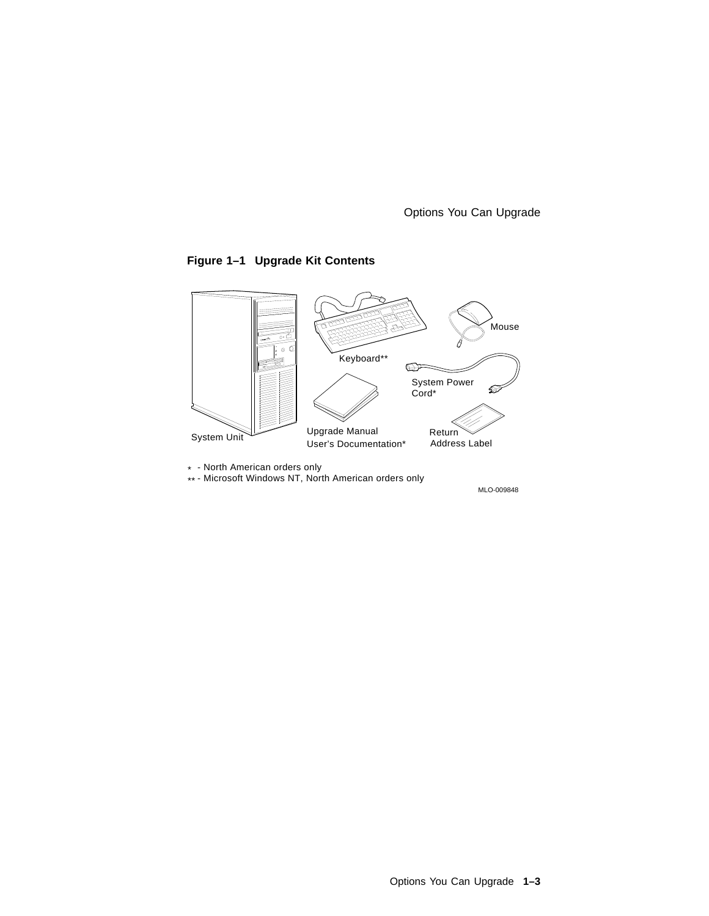Options You Can Upgrade

#### **Figure 1–1 Upgrade Kit Contents**



\* - North American orders only \*\* - Microsoft Windows NT, North American orders only

MLO-009848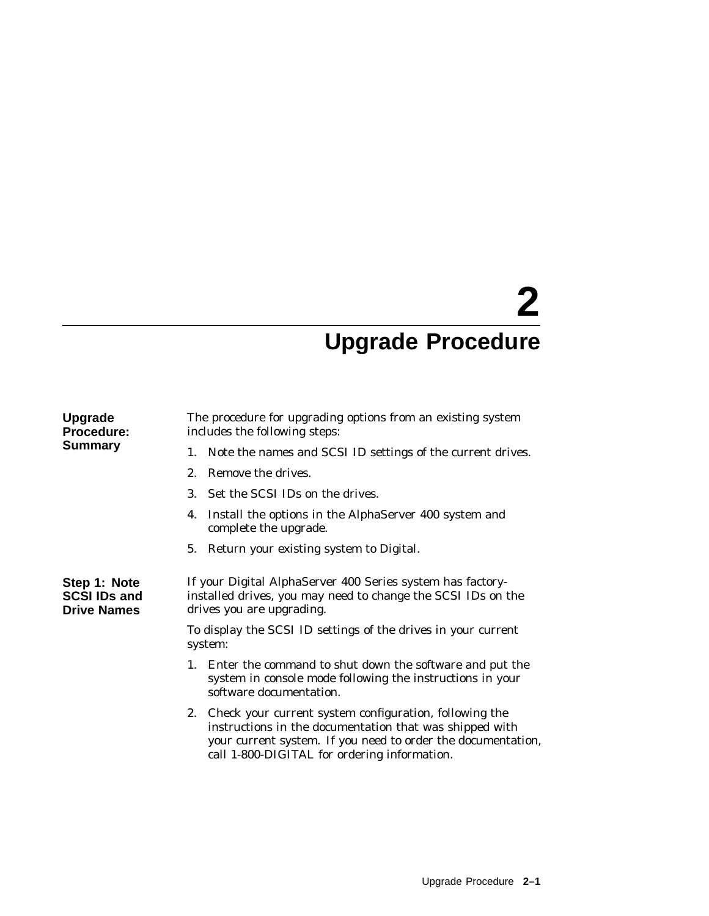## **2 Upgrade Procedure**

| <b>Upgrade</b><br><b>Procedure:</b><br><b>Summary</b>     | The procedure for upgrading options from an existing system<br>includes the following steps:                                                                                                                                         |  |
|-----------------------------------------------------------|--------------------------------------------------------------------------------------------------------------------------------------------------------------------------------------------------------------------------------------|--|
|                                                           | 1. Note the names and SCSI ID settings of the current drives.                                                                                                                                                                        |  |
|                                                           | $2_{-}$<br>Remove the drives.                                                                                                                                                                                                        |  |
|                                                           | Set the SCSI IDs on the drives.<br>3.                                                                                                                                                                                                |  |
|                                                           | Install the options in the AlphaServer 400 system and<br>4.<br>complete the upgrade.                                                                                                                                                 |  |
|                                                           | Return your existing system to Digital.<br>5.                                                                                                                                                                                        |  |
| Step 1: Note<br><b>SCSI IDs and</b><br><b>Drive Names</b> | If your Digital AlphaServer 400 Series system has factory-<br>installed drives, you may need to change the SCSI IDs on the<br>drives you are upgrading.                                                                              |  |
|                                                           | To display the SCSI ID settings of the drives in your current<br>system:                                                                                                                                                             |  |
|                                                           | 1. Enter the command to shut down the software and put the<br>system in console mode following the instructions in your<br>software documentation.                                                                                   |  |
|                                                           | 2. Check your current system configuration, following the<br>instructions in the documentation that was shipped with<br>your current system. If you need to order the documentation,<br>call 1-800-DIGITAL for ordering information. |  |